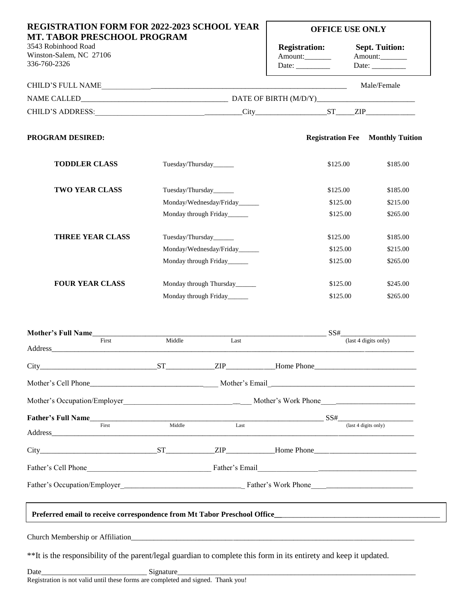| <b>Registration:</b><br>Amount:<br>CHILD'S ADDRESS: CHILD'S ADDRESS: CHILD'S ADDRESS:<br><b>Registration Fee</b><br>\$125.00 | <b>Sept. Tuition:</b><br>Amount:<br>Date: $\frac{1}{\sqrt{1-\frac{1}{2}}\cdot\frac{1}{2}}$<br>Male/Female | <b>Monthly Tuition</b><br>\$185.00                                                                                                                                                                                                                                                                                                                                                                                                            |
|------------------------------------------------------------------------------------------------------------------------------|-----------------------------------------------------------------------------------------------------------|-----------------------------------------------------------------------------------------------------------------------------------------------------------------------------------------------------------------------------------------------------------------------------------------------------------------------------------------------------------------------------------------------------------------------------------------------|
|                                                                                                                              |                                                                                                           |                                                                                                                                                                                                                                                                                                                                                                                                                                               |
|                                                                                                                              |                                                                                                           |                                                                                                                                                                                                                                                                                                                                                                                                                                               |
|                                                                                                                              |                                                                                                           |                                                                                                                                                                                                                                                                                                                                                                                                                                               |
|                                                                                                                              |                                                                                                           |                                                                                                                                                                                                                                                                                                                                                                                                                                               |
|                                                                                                                              |                                                                                                           |                                                                                                                                                                                                                                                                                                                                                                                                                                               |
|                                                                                                                              |                                                                                                           |                                                                                                                                                                                                                                                                                                                                                                                                                                               |
|                                                                                                                              |                                                                                                           | \$185.00                                                                                                                                                                                                                                                                                                                                                                                                                                      |
|                                                                                                                              |                                                                                                           | \$215.00                                                                                                                                                                                                                                                                                                                                                                                                                                      |
|                                                                                                                              |                                                                                                           | \$265.00                                                                                                                                                                                                                                                                                                                                                                                                                                      |
|                                                                                                                              |                                                                                                           | \$185.00                                                                                                                                                                                                                                                                                                                                                                                                                                      |
|                                                                                                                              |                                                                                                           | \$215.00                                                                                                                                                                                                                                                                                                                                                                                                                                      |
|                                                                                                                              |                                                                                                           | \$265.00                                                                                                                                                                                                                                                                                                                                                                                                                                      |
|                                                                                                                              |                                                                                                           | \$245.00                                                                                                                                                                                                                                                                                                                                                                                                                                      |
|                                                                                                                              |                                                                                                           | \$265.00                                                                                                                                                                                                                                                                                                                                                                                                                                      |
|                                                                                                                              |                                                                                                           |                                                                                                                                                                                                                                                                                                                                                                                                                                               |
|                                                                                                                              |                                                                                                           |                                                                                                                                                                                                                                                                                                                                                                                                                                               |
|                                                                                                                              |                                                                                                           |                                                                                                                                                                                                                                                                                                                                                                                                                                               |
|                                                                                                                              |                                                                                                           |                                                                                                                                                                                                                                                                                                                                                                                                                                               |
|                                                                                                                              |                                                                                                           |                                                                                                                                                                                                                                                                                                                                                                                                                                               |
|                                                                                                                              |                                                                                                           |                                                                                                                                                                                                                                                                                                                                                                                                                                               |
|                                                                                                                              |                                                                                                           |                                                                                                                                                                                                                                                                                                                                                                                                                                               |
|                                                                                                                              |                                                                                                           |                                                                                                                                                                                                                                                                                                                                                                                                                                               |
|                                                                                                                              |                                                                                                           |                                                                                                                                                                                                                                                                                                                                                                                                                                               |
|                                                                                                                              |                                                                                                           |                                                                                                                                                                                                                                                                                                                                                                                                                                               |
|                                                                                                                              |                                                                                                           | \$125.00<br>\$125.00<br>\$125.00<br>\$125.00<br>\$125.00<br>\$125.00<br>\$125.00<br>\$125.00<br>SS#<br>(last 4 digits only)<br>$\overline{last4 \overline{ digits \text{ only}}}$<br>City ST EIP Home Phone<br>External States of Tather's Email Company of the Company of Tather's Email Company of the Company of the Company of Tather States and Tather States and Tather States and Tather States and Tather States and Tather States an |

## **Preferred email address to receive correspondence from Mt Tabor Preschool**\_\_\_\_\_\_\_\_\_\_\_\_\_\_\_\_\_\_\_\_\_\_\_\_\_\_\_\_\_\_\_\_\_\_\_\_\_\_ **Preferred email to receive correspondence from Mt Tabor Preschool Office\_\_**\_\_\_\_\_\_\_\_\_\_\_\_\_\_\_\_\_\_\_\_\_\_\_\_\_\_\_\_\_\_\_\_\_\_\_\_\_\_\_\_\_\_

Church Membership or Affiliation\_

\*\*It is the responsibility of the parent/legal guardian to complete this form in its entirety and keep it updated.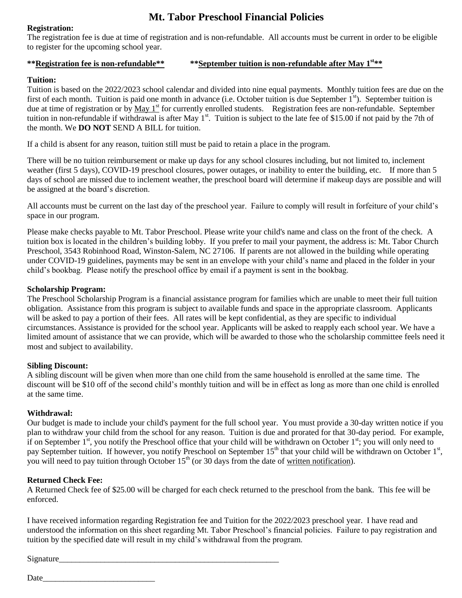# **Mt. Tabor Preschool Financial Policies**

#### **Registration:**

The registration fee is due at time of registration and is non-refundable. All accounts must be current in order to be eligible to register for the upcoming school year.

#### **\*\*Registration fee is non-refundable\*\* \*\*September tuition is non-refundable after May 1st\*\***

#### **Tuition:**

Tuition is based on the 2022/2023 school calendar and divided into nine equal payments. Monthly tuition fees are due on the first of each month. Tuition is paid one month in advance (i.e. October tuition is due September 1<sup>st</sup>). September tuition is due at time of registration or by May 1<sup>st</sup> for currently enrolled students. Registration fees are non-refundable. September tuition in non-refundable if withdrawal is after May  $1^{st}$ . Tuition is subject to the late fee of \$15.00 if not paid by the 7th of the month. We **DO NOT** SEND A BILL for tuition.

If a child is absent for any reason, tuition still must be paid to retain a place in the program.

There will be no tuition reimbursement or make up days for any school closures including, but not limited to, inclement weather (first 5 days), COVID-19 preschool closures, power outages, or inability to enter the building, etc. If more than 5 days of school are missed due to inclement weather, the preschool board will determine if makeup days are possible and will be assigned at the board's discretion.

All accounts must be current on the last day of the preschool year. Failure to comply will result in forfeiture of your child's space in our program.

Please make checks payable to Mt. Tabor Preschool. Please write your child's name and class on the front of the check. A tuition box is located in the children's building lobby. If you prefer to mail your payment, the address is: Mt. Tabor Church Preschool, 3543 Robinhood Road, Winston-Salem, NC 27106. If parents are not allowed in the building while operating under COVID-19 guidelines, payments may be sent in an envelope with your child's name and placed in the folder in your child's bookbag. Please notify the preschool office by email if a payment is sent in the bookbag.

#### **Scholarship Program:**

The Preschool Scholarship Program is a financial assistance program for families which are unable to meet their full tuition obligation. Assistance from this program is subject to available funds and space in the appropriate classroom. Applicants will be asked to pay a portion of their fees. All rates will be kept confidential, as they are specific to individual circumstances. Assistance is provided for the school year. Applicants will be asked to reapply each school year. We have a limited amount of assistance that we can provide, which will be awarded to those who the scholarship committee feels need it most and subject to availability.

### **Sibling Discount:**

A sibling discount will be given when more than one child from the same household is enrolled at the same time. The discount will be \$10 off of the second child's monthly tuition and will be in effect as long as more than one child is enrolled at the same time.

### **Withdrawal:**

Our budget is made to include your child's payment for the full school year. You must provide a 30-day written notice if you plan to withdraw your child from the school for any reason. Tuition is due and prorated for that 30-day period. For example, if on September  $1^{st}$ , you notify the Preschool office that your child will be withdrawn on October  $1^{st}$ ; you will only need to pay September tuition. If however, you notify Preschool on September 15<sup>th</sup> that your child will be withdrawn on October 1<sup>st</sup>, you will need to pay tuition through October 15<sup>th</sup> (or 30 days from the date of written notification).

### **Returned Check Fee:**

A Returned Check fee of \$25.00 will be charged for each check returned to the preschool from the bank. This fee will be enforced.

I have received information regarding Registration fee and Tuition for the 2022/2023 preschool year. I have read and understood the information on this sheet regarding Mt. Tabor Preschool's financial policies. Failure to pay registration and tuition by the specified date will result in my child's withdrawal from the program.

Signature

Date and the set of  $\alpha$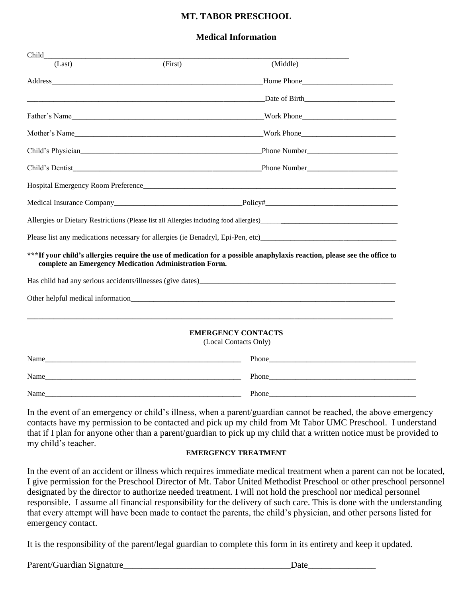### **MT. TABOR PRESCHOOL**

### **Medical Information**

| Child  |                                                       |                                                                                                                          |
|--------|-------------------------------------------------------|--------------------------------------------------------------------------------------------------------------------------|
| (Last) | (First)                                               | (Middle)                                                                                                                 |
|        |                                                       |                                                                                                                          |
|        |                                                       | Date of Birth                                                                                                            |
|        |                                                       | Work Phone                                                                                                               |
|        |                                                       |                                                                                                                          |
|        |                                                       |                                                                                                                          |
|        |                                                       |                                                                                                                          |
|        |                                                       |                                                                                                                          |
|        |                                                       |                                                                                                                          |
|        |                                                       |                                                                                                                          |
|        |                                                       | Please list any medications necessary for allergies (ie Benadryl, Epi-Pen, etc)                                          |
|        | complete an Emergency Medication Administration Form. | ***If your child's allergies require the use of medication for a possible anaphylaxis reaction, please see the office to |
|        |                                                       |                                                                                                                          |
|        |                                                       |                                                                                                                          |
|        |                                                       |                                                                                                                          |
|        |                                                       | <b>EMERGENCY CONTACTS</b><br>(Local Contacts Only)                                                                       |
|        |                                                       |                                                                                                                          |
|        |                                                       |                                                                                                                          |
| Name   |                                                       | Phone                                                                                                                    |

In the event of an emergency or child's illness, when a parent/guardian cannot be reached, the above emergency contacts have my permission to be contacted and pick up my child from Mt Tabor UMC Preschool. I understand that if I plan for anyone other than a parent/guardian to pick up my child that a written notice must be provided to my child's teacher.

#### **EMERGENCY TREATMENT**

In the event of an accident or illness which requires immediate medical treatment when a parent can not be located, I give permission for the Preschool Director of Mt. Tabor United Methodist Preschool or other preschool personnel designated by the director to authorize needed treatment. I will not hold the preschool nor medical personnel responsible. I assume all financial responsibility for the delivery of such care. This is done with the understanding that every attempt will have been made to contact the parents, the child's physician, and other persons listed for emergency contact.

It is the responsibility of the parent/legal guardian to complete this form in its entirety and keep it updated.

Parent/Guardian Signature\_\_\_\_\_\_\_\_\_\_\_\_\_\_\_\_\_\_\_\_\_\_\_\_\_\_\_\_\_\_\_\_\_\_\_\_\_Date\_\_\_\_\_\_\_\_\_\_\_\_\_\_\_